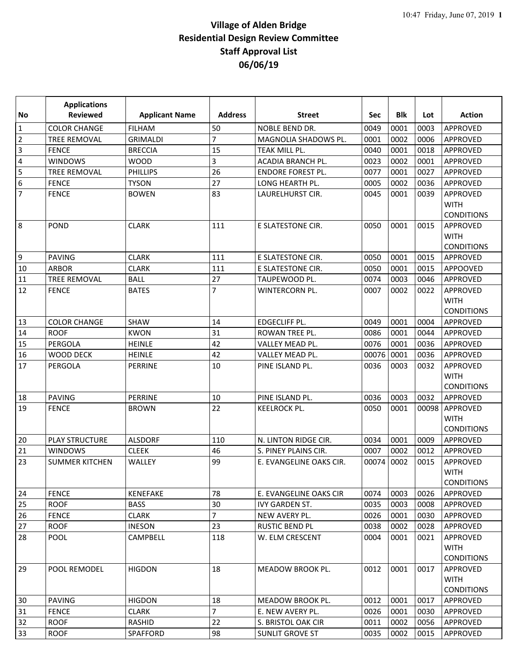|                | <b>Applications</b>   |                       |                |                          |            |            |       |                                                     |
|----------------|-----------------------|-----------------------|----------------|--------------------------|------------|------------|-------|-----------------------------------------------------|
| No             | <b>Reviewed</b>       | <b>Applicant Name</b> | <b>Address</b> | <b>Street</b>            | <b>Sec</b> | <b>Blk</b> | Lot   | <b>Action</b>                                       |
| $\mathbf{1}$   | <b>COLOR CHANGE</b>   | <b>FILHAM</b>         | 50             | NOBLE BEND DR.           | 0049       | 0001       | 0003  | APPROVED                                            |
| $\overline{2}$ | <b>TREE REMOVAL</b>   | <b>GRIMALDI</b>       | 7              | MAGNOLIA SHADOWS PL.     | 0001       | 0002       | 0006  | APPROVED                                            |
| 3              | <b>FENCE</b>          | <b>BRECCIA</b>        | 15             | TEAK MILL PL.            | 0040       | 0001       | 0018  | APPROVED                                            |
| 4              | <b>WINDOWS</b>        | <b>WOOD</b>           | 3              | ACADIA BRANCH PL.        | 0023       | 0002       | 0001  | APPROVED                                            |
| 5              | TREE REMOVAL          | <b>PHILLIPS</b>       | 26             | <b>ENDORE FOREST PL.</b> | 0077       | 0001       | 0027  | APPROVED                                            |
| 6              | <b>FENCE</b>          | <b>TYSON</b>          | 27             | LONG HEARTH PL.          | 0005       | 0002       | 0036  | <b>APPROVED</b>                                     |
| $\overline{7}$ | <b>FENCE</b>          | <b>BOWEN</b>          | 83             | LAURELHURST CIR.         | 0045       | 0001       | 0039  | APPROVED<br><b>WITH</b><br><b>CONDITIONS</b>        |
| 8              | <b>POND</b>           | <b>CLARK</b>          | 111            | E SLATESTONE CIR.        | 0050       | 0001       | 0015  | APPROVED<br><b>WITH</b><br><b>CONDITIONS</b>        |
| 9              | <b>PAVING</b>         | <b>CLARK</b>          | 111            | E SLATESTONE CIR.        | 0050       | 0001       | 0015  | APPROVED                                            |
| 10             | <b>ARBOR</b>          | <b>CLARK</b>          | 111            | E SLATESTONE CIR.        | 0050       | 0001       | 0015  | APPOOVED                                            |
| 11             | TREE REMOVAL          | <b>BALL</b>           | 27             | TAUPEWOOD PL.            | 0074       | 0003       | 0046  | APPROVED                                            |
| 12             | <b>FENCE</b>          | <b>BATES</b>          | $\overline{7}$ | WINTERCORN PL.           | 0007       | 0002       | 0022  | <b>APPROVED</b><br><b>WITH</b><br><b>CONDITIONS</b> |
| 13             | <b>COLOR CHANGE</b>   | <b>SHAW</b>           | 14             | EDGECLIFF PL.            | 0049       | 0001       | 0004  | APPROVED                                            |
| 14             | <b>ROOF</b>           | <b>KWON</b>           | 31             | ROWAN TREE PL.           | 0086       | 0001       | 0044  | <b>APPROVED</b>                                     |
| 15             | PERGOLA               | <b>HEINLE</b>         | 42             | VALLEY MEAD PL.          | 0076       | 0001       | 0036  | APPROVED                                            |
| 16             | WOOD DECK             | <b>HEINLE</b>         | 42             | VALLEY MEAD PL.          | 00076      | 0001       | 0036  | APPROVED                                            |
| 17             | PERGOLA               | PERRINE               | 10             | PINE ISLAND PL.          | 0036       | 0003       | 0032  | APPROVED<br><b>WITH</b><br><b>CONDITIONS</b>        |
| 18             | <b>PAVING</b>         | PERRINE               | 10             | PINE ISLAND PL.          | 0036       | 0003       | 0032  | APPROVED                                            |
| 19             | <b>FENCE</b>          | <b>BROWN</b>          | 22             | <b>KEELROCK PL.</b>      | 0050       | 0001       | 00098 | APPROVED<br><b>WITH</b><br><b>CONDITIONS</b>        |
| 20             | <b>PLAY STRUCTURE</b> | <b>ALSDORF</b>        | 110            | N. LINTON RIDGE CIR.     | 0034       | 0001       | 0009  | APPROVED                                            |
| 21             | <b>WINDOWS</b>        | <b>CLEEK</b>          | 46             | S. PINEY PLAINS CIR.     | 0007       | 0002       | 0012  | APPROVED                                            |
| 23             | <b>SUMMER KITCHEN</b> | <b>WALLEY</b>         | 99             | E. EVANGELINE OAKS CIR.  | 00074      | 0002       | 0015  | APPROVED<br><b>WITH</b><br><b>CONDITIONS</b>        |
| 24             | <b>FENCE</b>          | <b>KENEFAKE</b>       | 78             | E. EVANGELINE OAKS CIR   | 0074       | 0003       | 0026  | APPROVED                                            |
| 25             | <b>ROOF</b>           | <b>BASS</b>           | 30             | IVY GARDEN ST.           | 0035       | 0003       | 0008  | APPROVED                                            |
| 26             | <b>FENCE</b>          | <b>CLARK</b>          | 7              | NEW AVERY PL.            | 0026       | 0001       | 0030  | APPROVED                                            |
| 27             | <b>ROOF</b>           | <b>INESON</b>         | 23             | RUSTIC BEND PL           | 0038       | 0002       | 0028  | APPROVED                                            |
| 28             | <b>POOL</b>           | CAMPBELL              | 118            | W. ELM CRESCENT          | 0004       | 0001       | 0021  | APPROVED<br><b>WITH</b><br><b>CONDITIONS</b>        |
| 29             | POOL REMODEL          | <b>HIGDON</b>         | 18             | <b>MEADOW BROOK PL.</b>  | 0012       | 0001       | 0017  | APPROVED<br><b>WITH</b><br><b>CONDITIONS</b>        |
| 30             | <b>PAVING</b>         | <b>HIGDON</b>         | 18             | MEADOW BROOK PL.         | 0012       | 0001       | 0017  | APPROVED                                            |
| 31             | <b>FENCE</b>          | <b>CLARK</b>          | 7              | E. NEW AVERY PL.         | 0026       | 0001       | 0030  | APPROVED                                            |
| 32             | <b>ROOF</b>           | RASHID                | 22             | S. BRISTOL OAK CIR       | 0011       | 0002       | 0056  | APPROVED                                            |
| 33             | <b>ROOF</b>           | SPAFFORD              | 98             | SUNLIT GROVE ST          | 0035       | 0002       | 0015  | APPROVED                                            |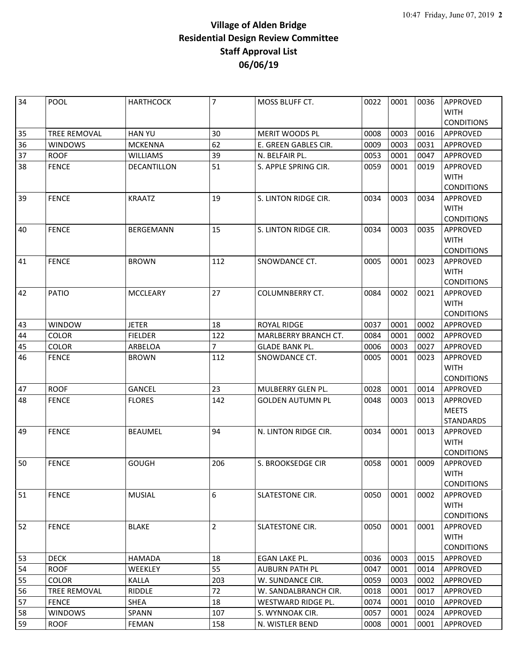| 34 | <b>POOL</b>         | <b>HARTHCOCK</b> | $\overline{7}$ | <b>MOSS BLUFF CT.</b>       | 0022 | 0001 | 0036 | <b>APPROVED</b>         |
|----|---------------------|------------------|----------------|-----------------------------|------|------|------|-------------------------|
|    |                     |                  |                |                             |      |      |      | <b>WITH</b>             |
|    |                     |                  |                |                             |      |      |      | <b>CONDITIONS</b>       |
| 35 | <b>TREE REMOVAL</b> | <b>HAN YU</b>    | 30             | MERIT WOODS PL              | 0008 | 0003 | 0016 | <b>APPROVED</b>         |
| 36 | <b>WINDOWS</b>      | <b>MCKENNA</b>   | 62             | E. GREEN GABLES CIR.        | 0009 | 0003 | 0031 | APPROVED                |
| 37 | <b>ROOF</b>         | <b>WILLIAMS</b>  | 39             | N. BELFAIR PL.              | 0053 | 0001 | 0047 | APPROVED                |
| 38 | <b>FENCE</b>        | DECANTILLON      | 51             | S. APPLE SPRING CIR.        | 0059 | 0001 | 0019 | APPROVED                |
|    |                     |                  |                |                             |      |      |      | <b>WITH</b>             |
|    |                     |                  |                |                             |      |      |      | <b>CONDITIONS</b>       |
| 39 | <b>FENCE</b>        | <b>KRAATZ</b>    | 19             | S. LINTON RIDGE CIR.        | 0034 | 0003 | 0034 | <b>APPROVED</b>         |
|    |                     |                  |                |                             |      |      |      | <b>WITH</b>             |
|    |                     |                  |                |                             |      |      |      | <b>CONDITIONS</b>       |
| 40 | <b>FENCE</b>        | BERGEMANN        | 15             | S. LINTON RIDGE CIR.        | 0034 | 0003 | 0035 | <b>APPROVED</b>         |
|    |                     |                  |                |                             |      |      |      | <b>WITH</b>             |
|    |                     |                  |                |                             |      |      |      | <b>CONDITIONS</b>       |
| 41 | <b>FENCE</b>        | <b>BROWN</b>     | 112            | SNOWDANCE CT.               | 0005 | 0001 | 0023 | APPROVED                |
|    |                     |                  |                |                             |      |      |      | <b>WITH</b>             |
|    |                     |                  |                |                             |      |      |      | <b>CONDITIONS</b>       |
| 42 | PATIO               | <b>MCCLEARY</b>  | 27             | COLUMNBERRY CT.             | 0084 | 0002 | 0021 | APPROVED<br><b>WITH</b> |
|    |                     |                  |                |                             |      |      |      | <b>CONDITIONS</b>       |
| 43 | <b>WINDOW</b>       | <b>JETER</b>     | 18             | <b>ROYAL RIDGE</b>          | 0037 | 0001 | 0002 | APPROVED                |
| 44 | <b>COLOR</b>        | <b>FIELDER</b>   | 122            | <b>MARLBERRY BRANCH CT.</b> | 0084 | 0001 | 0002 | <b>APPROVED</b>         |
| 45 | <b>COLOR</b>        | ARBELOA          | $\overline{7}$ | <b>GLADE BANK PL.</b>       | 0006 | 0003 | 0027 | APPROVED                |
| 46 | <b>FENCE</b>        | <b>BROWN</b>     | 112            | SNOWDANCE CT.               | 0005 | 0001 | 0023 | APPROVED                |
|    |                     |                  |                |                             |      |      |      | <b>WITH</b>             |
|    |                     |                  |                |                             |      |      |      | <b>CONDITIONS</b>       |
| 47 | <b>ROOF</b>         | <b>GANCEL</b>    | 23             | MULBERRY GLEN PL.           | 0028 | 0001 | 0014 | APPROVED                |
| 48 | <b>FENCE</b>        | <b>FLORES</b>    | 142            | <b>GOLDEN AUTUMN PL</b>     | 0048 | 0003 | 0013 | APPROVED                |
|    |                     |                  |                |                             |      |      |      | <b>MEETS</b>            |
|    |                     |                  |                |                             |      |      |      | <b>STANDARDS</b>        |
| 49 | <b>FENCE</b>        | <b>BEAUMEL</b>   | 94             | N. LINTON RIDGE CIR.        | 0034 | 0001 | 0013 | <b>APPROVED</b>         |
|    |                     |                  |                |                             |      |      |      | <b>WITH</b>             |
|    |                     |                  |                |                             |      |      |      | <b>CONDITIONS</b>       |
| 50 | <b>FENCE</b>        | <b>GOUGH</b>     | 206            | S. BROOKSEDGE CIR           | 0058 | 0001 | 0009 | APPROVED                |
|    |                     |                  |                |                             |      |      |      | <b>WITH</b>             |
|    |                     |                  |                |                             |      |      |      | <b>CONDITIONS</b>       |
| 51 | <b>FENCE</b>        | <b>MUSIAL</b>    | 6              | SLATESTONE CIR.             | 0050 | 0001 | 0002 | APPROVED                |
|    |                     |                  |                |                             |      |      |      | <b>WITH</b>             |
|    |                     |                  |                |                             |      |      |      | <b>CONDITIONS</b>       |
| 52 | <b>FENCE</b>        | <b>BLAKE</b>     | $\overline{2}$ | <b>SLATESTONE CIR.</b>      | 0050 | 0001 | 0001 | APPROVED                |
|    |                     |                  |                |                             |      |      |      | <b>WITH</b>             |
|    |                     |                  |                |                             |      |      |      | <b>CONDITIONS</b>       |
| 53 | <b>DECK</b>         | <b>HAMADA</b>    | 18             | EGAN LAKE PL.               | 0036 | 0003 | 0015 | APPROVED                |
| 54 | <b>ROOF</b>         | WEEKLEY          | 55             | <b>AUBURN PATH PL</b>       | 0047 | 0001 | 0014 | APPROVED                |
| 55 | <b>COLOR</b>        | <b>KALLA</b>     | 203            | W. SUNDANCE CIR.            | 0059 | 0003 | 0002 | APPROVED                |
| 56 | TREE REMOVAL        | <b>RIDDLE</b>    | 72             | W. SANDALBRANCH CIR.        | 0018 | 0001 | 0017 | APPROVED                |
| 57 | <b>FENCE</b>        | SHEA             | 18             | WESTWARD RIDGE PL.          | 0074 | 0001 | 0010 | APPROVED                |
| 58 | <b>WINDOWS</b>      | SPANN            | 107            | S. WYNNOAK CIR.             | 0057 | 0001 | 0024 | APPROVED                |
| 59 | <b>ROOF</b>         | FEMAN            | 158            | N. WISTLER BEND             | 0008 | 0001 | 0001 | APPROVED                |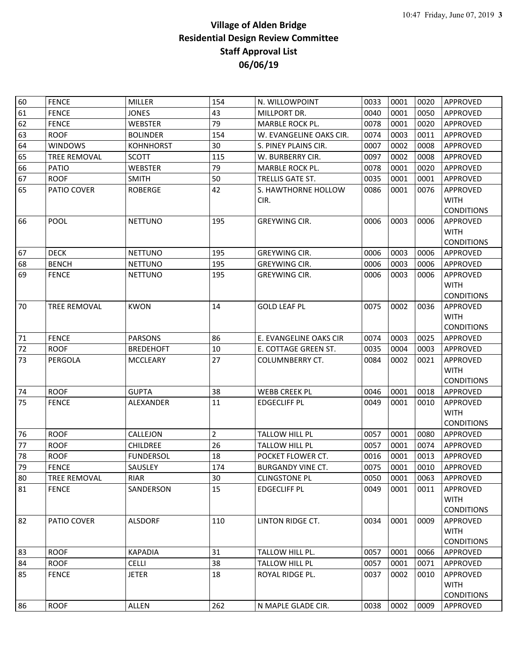| 60 | <b>FENCE</b>        | MILLER           | 154            | N. WILLOWPOINT              | 0033 | 0001 | 0020 | APPROVED                |
|----|---------------------|------------------|----------------|-----------------------------|------|------|------|-------------------------|
| 61 | <b>FENCE</b>        | <b>JONES</b>     | 43             | MILLPORT DR.                | 0040 | 0001 | 0050 | <b>APPROVED</b>         |
| 62 | <b>FENCE</b>        | <b>WEBSTER</b>   | 79             | MARBLE ROCK PL.             | 0078 | 0001 | 0020 | APPROVED                |
| 63 | <b>ROOF</b>         | <b>BOLINDER</b>  | 154            | W. EVANGELINE OAKS CIR.     | 0074 | 0003 | 0011 | APPROVED                |
| 64 | <b>WINDOWS</b>      | <b>KOHNHORST</b> | 30             | S. PINEY PLAINS CIR.        | 0007 | 0002 | 0008 | APPROVED                |
| 65 | <b>TREE REMOVAL</b> | <b>SCOTT</b>     | 115            | W. BURBERRY CIR.            | 0097 | 0002 | 0008 | APPROVED                |
| 66 | <b>PATIO</b>        | <b>WEBSTER</b>   | 79             | MARBLE ROCK PL.             | 0078 | 0001 | 0020 | APPROVED                |
| 67 | <b>ROOF</b>         | <b>SMITH</b>     | 50             | TRELLIS GATE ST.            | 0035 | 0001 | 0001 | APPROVED                |
| 65 | PATIO COVER         | <b>ROBERGE</b>   | 42             | S. HAWTHORNE HOLLOW<br>CIR. | 0086 | 0001 | 0076 | APPROVED<br><b>WITH</b> |
|    |                     |                  |                |                             |      |      |      | <b>CONDITIONS</b>       |
| 66 | POOL                | <b>NETTUNO</b>   | 195            | <b>GREYWING CIR.</b>        | 0006 | 0003 | 0006 | APPROVED                |
|    |                     |                  |                |                             |      |      |      | <b>WITH</b>             |
|    |                     |                  |                |                             |      |      |      | <b>CONDITIONS</b>       |
| 67 | <b>DECK</b>         | <b>NETTUNO</b>   | 195            | GREYWING CIR.               | 0006 | 0003 | 0006 | APPROVED                |
| 68 | <b>BENCH</b>        | <b>NETTUNO</b>   | 195            | <b>GREYWING CIR.</b>        | 0006 | 0003 | 0006 | APPROVED                |
| 69 | <b>FENCE</b>        | <b>NETTUNO</b>   | 195            | GREYWING CIR.               | 0006 | 0003 | 0006 | APPROVED                |
|    |                     |                  |                |                             |      |      |      | <b>WITH</b>             |
|    |                     |                  |                |                             |      |      |      | <b>CONDITIONS</b>       |
| 70 | <b>TREE REMOVAL</b> | <b>KWON</b>      | 14             | <b>GOLD LEAF PL</b>         | 0075 | 0002 | 0036 | APPROVED                |
|    |                     |                  |                |                             |      |      |      | <b>WITH</b>             |
|    |                     |                  |                |                             |      |      |      | <b>CONDITIONS</b>       |
| 71 | <b>FENCE</b>        | <b>PARSONS</b>   | 86             | E. EVANGELINE OAKS CIR      | 0074 | 0003 | 0025 | APPROVED                |
| 72 | <b>ROOF</b>         | <b>BREDEHOFT</b> | 10             | E. COTTAGE GREEN ST.        | 0035 | 0004 | 0003 | APPROVED                |
| 73 | PERGOLA             | <b>MCCLEARY</b>  | 27             | <b>COLUMNBERRY CT.</b>      | 0084 | 0002 | 0021 | APPROVED                |
|    |                     |                  |                |                             |      |      |      | <b>WITH</b>             |
|    |                     |                  |                |                             |      |      |      | <b>CONDITIONS</b>       |
| 74 | <b>ROOF</b>         | <b>GUPTA</b>     | 38             | <b>WEBB CREEK PL</b>        | 0046 | 0001 | 0018 | APPROVED                |
| 75 | <b>FENCE</b>        | ALEXANDER        | 11             | <b>EDGECLIFF PL</b>         | 0049 | 0001 | 0010 | APPROVED<br><b>WITH</b> |
|    |                     |                  |                |                             |      |      |      | <b>CONDITIONS</b>       |
| 76 | <b>ROOF</b>         | CALLEJON         | $\overline{2}$ | TALLOW HILL PL              | 0057 | 0001 | 0080 | APPROVED                |
| 77 | <b>ROOF</b>         | <b>CHILDREE</b>  | 26             | TALLOW HILL PL              | 0057 | 0001 | 0074 | APPROVED                |
| 78 | <b>ROOF</b>         | <b>FUNDERSOL</b> | 18             | POCKET FLOWER CT.           | 0016 | 0001 | 0013 | APPROVED                |
| 79 | <b>FENCE</b>        | SAUSLEY          | 174            | <b>BURGANDY VINE CT.</b>    | 0075 | 0001 | 0010 | APPROVED                |
| 80 | <b>TREE REMOVAL</b> | <b>RIAR</b>      | 30             | <b>CLINGSTONE PL</b>        | 0050 | 0001 | 0063 | APPROVED                |
| 81 | <b>FENCE</b>        | SANDERSON        | 15             | <b>EDGECLIFF PL</b>         | 0049 | 0001 | 0011 | <b>APPROVED</b>         |
|    |                     |                  |                |                             |      |      |      | <b>WITH</b>             |
|    |                     |                  |                |                             |      |      |      | <b>CONDITIONS</b>       |
| 82 | PATIO COVER         | <b>ALSDORF</b>   | 110            | LINTON RIDGE CT.            | 0034 | 0001 | 0009 | APPROVED                |
|    |                     |                  |                |                             |      |      |      | <b>WITH</b>             |
|    |                     |                  |                |                             |      |      |      | <b>CONDITIONS</b>       |
| 83 | <b>ROOF</b>         | <b>KAPADIA</b>   | 31             | TALLOW HILL PL.             | 0057 | 0001 | 0066 | APPROVED                |
| 84 | <b>ROOF</b>         | <b>CELLI</b>     | 38             | TALLOW HILL PL              | 0057 | 0001 | 0071 | APPROVED                |
| 85 | <b>FENCE</b>        | JETER            | 18             | ROYAL RIDGE PL.             | 0037 | 0002 | 0010 | APPROVED                |
|    |                     |                  |                |                             |      |      |      | <b>WITH</b>             |
|    |                     |                  |                |                             |      |      |      | <b>CONDITIONS</b>       |
| 86 | <b>ROOF</b>         | ALLEN            | 262            | N MAPLE GLADE CIR.          | 0038 | 0002 | 0009 | APPROVED                |